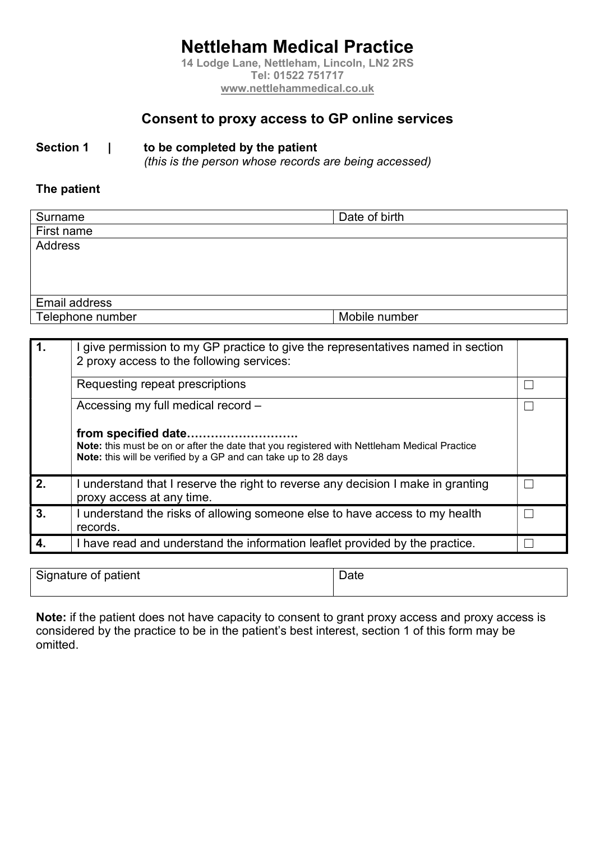# Nettleham Medical Practice

14 Lodge Lane, Nettleham, Lincoln, LN2 2RS Tel: 01522 751717 www.nettlehammedical.co.uk

## Consent to proxy access to GP online services

#### Section 1 | to be completed by the patient

(this is the person whose records are being accessed)

#### The patient

| Date of birth |
|---------------|
|               |
|               |
|               |
|               |
|               |
|               |
| Mobile number |
|               |

| 1.             | I give permission to my GP practice to give the representatives named in section<br>2 proxy access to the following services:                                                        |  |
|----------------|--------------------------------------------------------------------------------------------------------------------------------------------------------------------------------------|--|
|                | Requesting repeat prescriptions                                                                                                                                                      |  |
|                | Accessing my full medical record -                                                                                                                                                   |  |
|                | from specified date<br>Note: this must be on or after the date that you registered with Nettleham Medical Practice<br>Note: this will be verified by a GP and can take up to 28 days |  |
| 2.             | I understand that I reserve the right to reverse any decision I make in granting<br>proxy access at any time.                                                                        |  |
| 3 <sub>1</sub> | I understand the risks of allowing someone else to have access to my health<br>records.                                                                                              |  |
| 4.             | I have read and understand the information leaflet provided by the practice.                                                                                                         |  |

Signature of patient New York Channel Date New York Date

Note: if the patient does not have capacity to consent to grant proxy access and proxy access is considered by the practice to be in the patient's best interest, section 1 of this form may be omitted.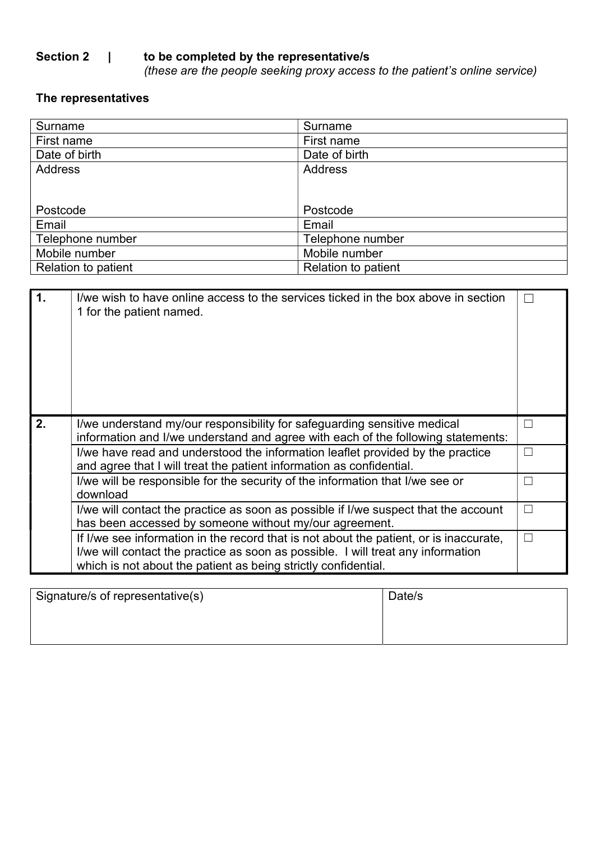## Section 2 | to be completed by the representative/s

(these are the people seeking proxy access to the patient's online service)

## The representatives

| Surname             | Surname                    |
|---------------------|----------------------------|
| First name          | First name                 |
| Date of birth       | Date of birth              |
| <b>Address</b>      | <b>Address</b>             |
|                     |                            |
|                     |                            |
|                     |                            |
| Postcode            | Postcode                   |
| Email               | Email                      |
| Telephone number    | Telephone number           |
| Mobile number       | Mobile number              |
| Relation to patient | <b>Relation to patient</b> |

| H            |
|--------------|
|              |
| $\mathsf{L}$ |
| $\mathbf{I}$ |
| $\mathsf{L}$ |
| П            |
|              |

| Signature/s of representative(s) | Date/s |
|----------------------------------|--------|
|                                  |        |
|                                  |        |